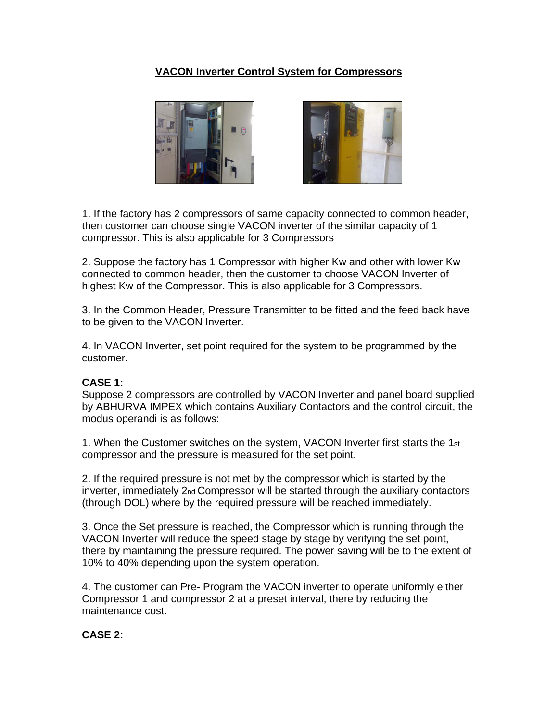## **VACON Inverter Control System for Compressors**



1. If the factory has 2 compressors of same capacity connected to common header, then customer can choose single VACON inverter of the similar capacity of 1 compressor. This is also applicable for 3 Compressors

2. Suppose the factory has 1 Compressor with higher Kw and other with lower Kw connected to common header, then the customer to choose VACON Inverter of highest Kw of the Compressor. This is also applicable for 3 Compressors.

3. In the Common Header, Pressure Transmitter to be fitted and the feed back have to be given to the VACON Inverter.

4. In VACON Inverter, set point required for the system to be programmed by the customer.

## **CASE 1:**

Suppose 2 compressors are controlled by VACON Inverter and panel board supplied by ABHURVA IMPEX which contains Auxiliary Contactors and the control circuit, the modus operandi is as follows:

1. When the Customer switches on the system, VACON Inverter first starts the 1st compressor and the pressure is measured for the set point.

2. If the required pressure is not met by the compressor which is started by the inverter, immediately 2nd Compressor will be started through the auxiliary contactors (through DOL) where by the required pressure will be reached immediately.

3. Once the Set pressure is reached, the Compressor which is running through the VACON Inverter will reduce the speed stage by stage by verifying the set point, there by maintaining the pressure required. The power saving will be to the extent of 10% to 40% depending upon the system operation.

4. The customer can Pre- Program the VACON inverter to operate uniformly either Compressor 1 and compressor 2 at a preset interval, there by reducing the maintenance cost.

## **CASE 2:**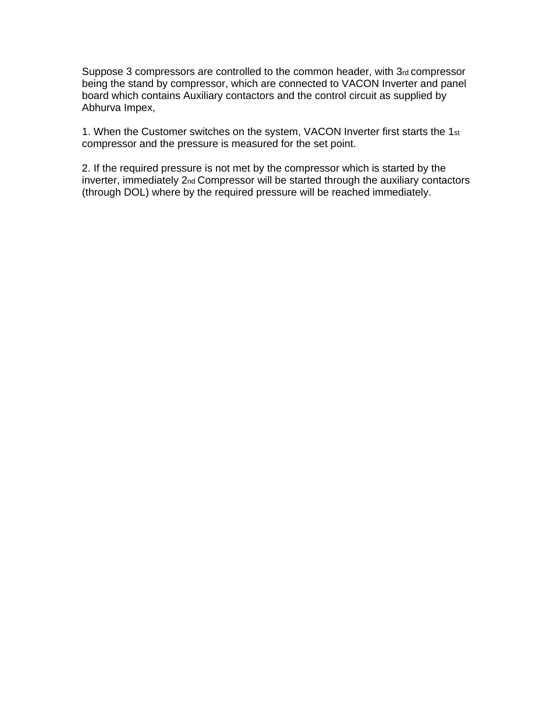Suppose 3 compressors are controlled to the common header, with 3rd compressor being the stand by compressor, which are connected to VACON Inverter and panel board which contains Auxiliary contactors and the control circuit as supplied by Abhurva Impex,

1. When the Customer switches on the system, VACON Inverter first starts the 1st compressor and the pressure is measured for the set point.

2. If the required pressure is not met by the compressor which is started by the inverter, immediately 2nd Compressor will be started through the auxiliary contactors (through DOL) where by the required pressure will be reached immediately.